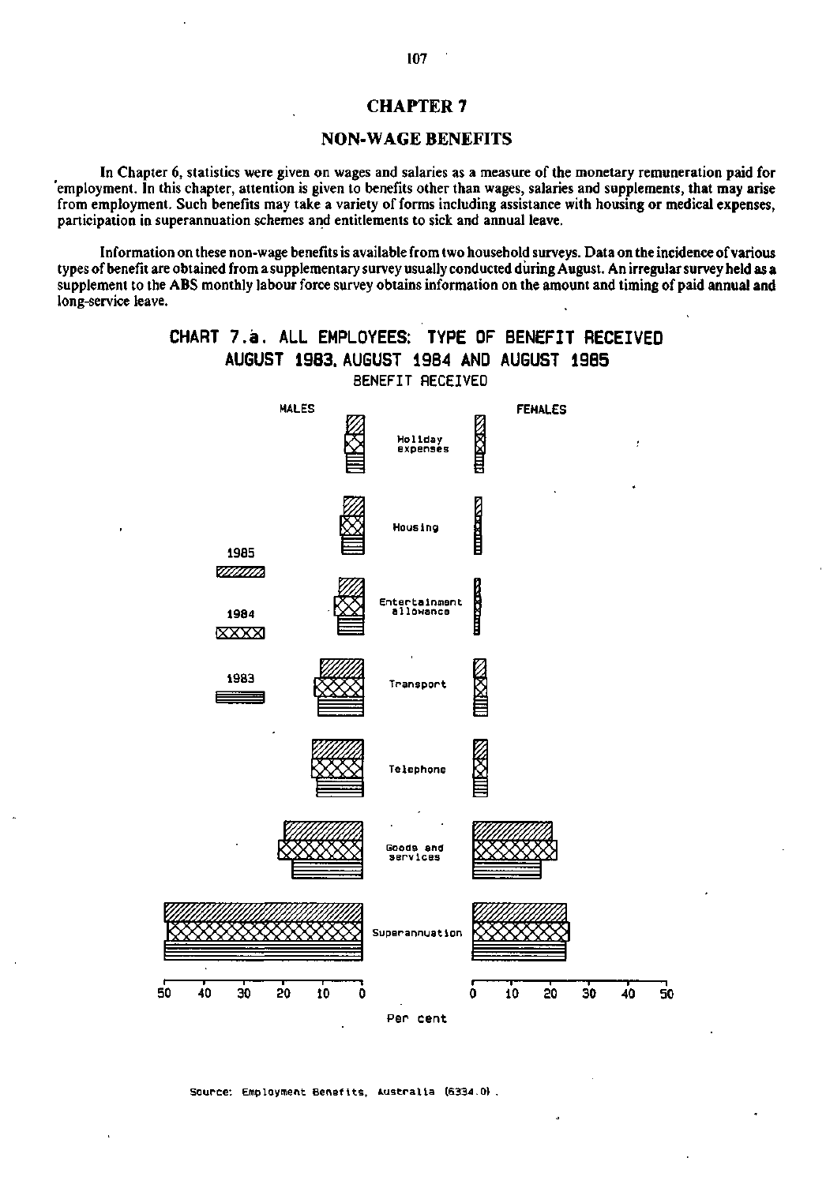## **CHAPTER 7**

### **NON-WAGE BENEFITS**

In Chapter 6, statistics were given on wages and salaries as a measure of the monetary remuneration paid for 'employment. In this chapter, attention is given to benefits other than wages, salaries and supplements, that may arise from employment. Such benefits may take a variety of forms including assistance with housing or medical expenses, participation in superannuation schemes and entitlements to sick and annual leave.

Information on these non-wage benefits is available from two household surveys. Data on the incidence of various types of benefit are obtained from a supplementary survey usually conducted during August. An irregular survey held as a supplement to the ABS monthly labour force survey obtains information on the amount and timing of paid annual and long-service leave.



**Source: Employment Benefits. Australia (6334.0) .**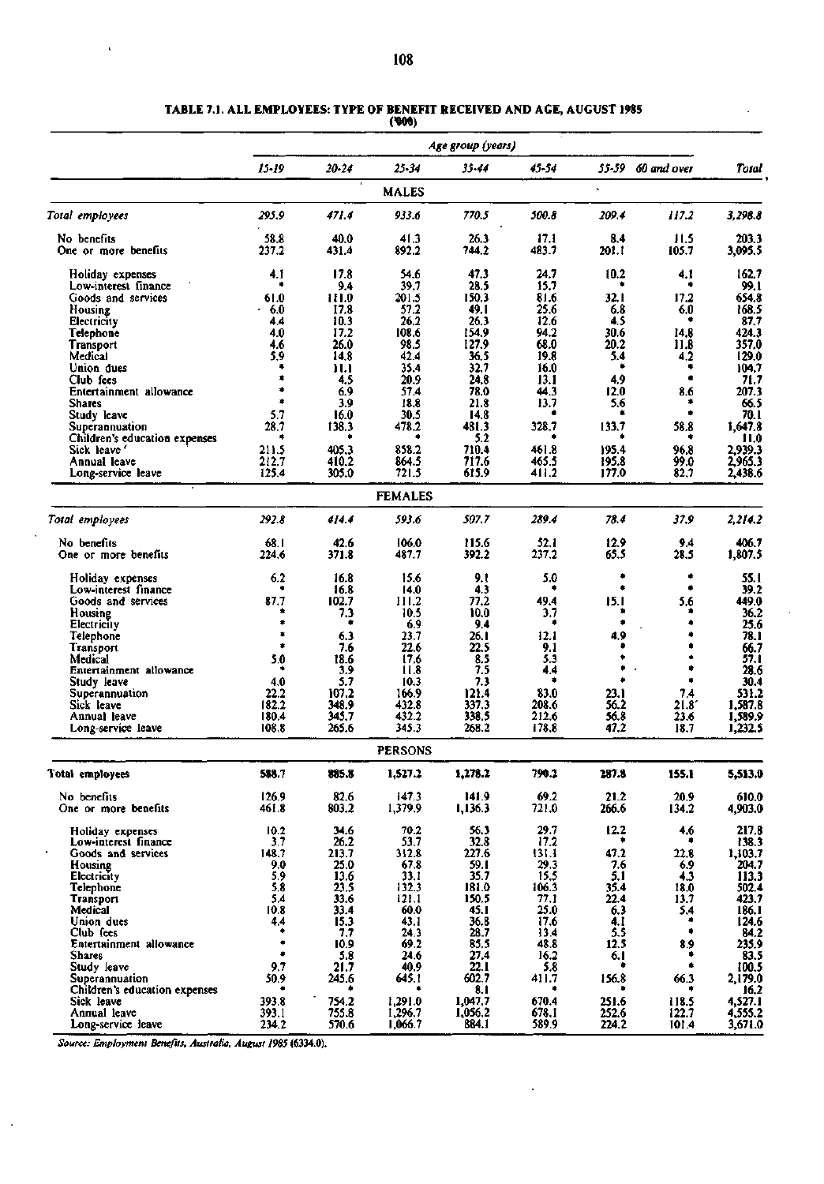|                                            |                |                | (WW)               |                   |                |                |                   |                    |
|--------------------------------------------|----------------|----------------|--------------------|-------------------|----------------|----------------|-------------------|--------------------|
|                                            |                |                |                    | Age group (years) |                |                |                   |                    |
|                                            | $15 - 19$      | $20 - 24$      | $25 - 34$          | 35-44             | $45 - 54$      |                | 55-59 60 and over | Total              |
|                                            |                |                | <b>MALES</b>       |                   |                |                |                   |                    |
| Total employees                            | 295.9          | 471.4          | 933.6              | 770.5             | 500.8          | 209.4          | 117.2             | 3,298.8            |
| No benefits                                | 58.8           | 40.0           | 41.3               | 26.3              | 17.1           | 8.4            | 11.5              | 203.3              |
| One or more benefits                       | 237.2          | 431.4          | 892.2              | 744.2             | 483.7          | 201.1          | 105.7             | 3,095.5            |
| Holiday expenses<br>Low-interest finance   | 4. I<br>٠      | 17.8<br>9.4    | 54.6<br>39.7       | 47.3<br>28.5      | 24.7<br>15.7   | 10.2           | 4.1               | 162.7<br>99.1      |
| Goods and services                         | 61.0           | 111.0          | 201.5              | 150.3             | 81.6           | 32.1           | 17.2              | 654.8              |
| Housing                                    | $+6.0$         | 17.8           | 57.2               | 49. I             | 25.6           | 6.8            | 6.0               | 168.5              |
| Electricity                                | 4.4            | 10.3           | 26.2               | 26.3              | 12.6           | 4.5            |                   | 87.7               |
| Telephone                                  | 4.0            | 17.2           | 108.6              | 154.9             | 94.2           | 30.6           | 14.8              | 424.3              |
| <b>Transport</b>                           | 4.6            | 26.0           | 98.5               | 127.9             | 68.0           | 20.2           | 11.8              | 357.0              |
| Medical                                    | 5.9            | 14.8           | 42.4               | 36.5              | 19.8           | 5.4<br>۰       | 4.2               | 129.0              |
| Union dues                                 | ۰<br>۰         | 11.1           | 35.4               | 32.7              | 16.0           |                | ۰<br>۰            | 104.7              |
| Club fees                                  |                | 4.5            | 20.9               | 24.8              | 13.1           | 4.9            |                   | 71.7               |
| Entertainment allowance<br><b>Shares</b>   | ٠              | 6.9<br>3.9     | 57.4<br>18.8       | 78.0<br>21.8      | 44.3<br>13.7   | 12.0<br>5.6    | 8.6<br>٠          | 207.3<br>66.5      |
| Study leave                                | 5.7            | 16.0           | 30.5               | 14.8              |                |                |                   | 70. I              |
| Superannuation                             | 28.7           | 138.3          | 478.2              | 481.3             | 328.7          | 133.7          | 58.8              | 1.647.8            |
| Children's education expenses              | 盘              |                |                    | 5.2               |                |                |                   | 11.0               |
| Sick leave '                               | 211.5          | 405.3          | 858.2              | 710.4             | 461.8          | 195.4          | 96.8              | 2.939.3            |
| Annual leave                               | 212.7          | 410.2          | 864.5              | 717.6             | 465.5          | 195.8          | 99.0              | 2,965.3            |
| Long-service leave                         | 125.4          | 305.0          | 721.5              | 615.9             | 411.2          | 177.0          | 82.7              | 2,438.6            |
|                                            |                |                | <b>FEMALES</b>     |                   |                |                |                   |                    |
| Total employees                            | 292.8          | 414.4          | 593.6              | 507.7             | 289.4          | 78.4           | 37.9              | 2,214.2            |
| No benefits                                | 68.I           | 42.6           | 106.0              | 115.6             | 52.1           | 12.9           | 9.4               | 406.7              |
| One or more benefits                       | 224.6          | 371.8          | 487.7              | 392.2             | 237.2          | 65.5           | 28.5              | 1,807.5            |
| Holiday expenses                           | 6.2            | 16.8           | 15.6               | 9.1               | 5.0<br>۰       | ۰<br>۰         | ۰<br>۰            | 55.1<br>39.2       |
| Low-interest finance<br>Goods and services | 87.7           | 16.8<br>102.7  | 14.0<br>111.2      | 4.3<br>77.2       | 49.4           | 15.1           | 5.6               | 449.0              |
| Housing                                    |                | 7.3            | 10.5               | 10.0              | 3.7            | ۰              | ۰                 | 36.2               |
| Electricity                                |                | ۰              | 6.9                | 9.4               | ۰              | ۰              | ۰                 | 25.6               |
| Telephone                                  | ۰              | 6.3            | 23.7               | 26. I             | 12.1           | 4.9            | ۰                 | 78.1               |
| Transport                                  | ۰              | 7.6            | 22.6               | 22.5              | 9.1            | ٠              | ۰                 | 66.7               |
| Medical                                    | 5.0            | 18.6           | 17.6               | 8.5               | 5.3            | ٠              | ٠                 | 57.1               |
| Entertainment allowance                    |                | 3.9            | 11.8               | 7.5               | 4.4            | ۰              | ۰                 | 28.6               |
| Study leave                                | 4.0            | 5.7            | 10.3               | 7.3               |                |                | ۰                 | 30.4               |
| Superannuation                             | 22.2           | 107.2          | 166.9              | 121.4             | 83.0           | 23.1           | 7.4               | 531.2              |
| Sick leave                                 | 182.2          | 348.9          | 432.8              | 337.3             | 208.6          | 56.2           | 21.8              | 1,587.8            |
| Annual leave                               | 180.4          | 345.7          | 432.2              | 338.5             | 212.6          | 56.8           | 23.6              | 1,589.9            |
| Long-service leave                         | 108.8          | 265.6          | 345.3              | 268.2             | 178.8          | 47.2           | 18.7              | 1,232.5            |
|                                            |                |                | <b>PERSONS</b>     |                   |                |                |                   |                    |
| Total employees                            | 588.7          | 885.8          | 1,527.2            | 1,278.2           | 790.2          | 287.8          | 155.1             | 5,513.0            |
| No benefits<br>One or more benefits        | 126.9<br>461.8 | 82.6<br>803.2  | 147.3<br>1,379.9   | 141.9<br>1,136.3  | 69.2<br>721.0  | 21.2<br>266.6  | 20.9<br>134.2     | 610.0<br>4,903.0   |
| Holiday expenses                           | 10.2           | 34.6           | 70.2               | 56.3              | 29.7           | 12.2           | 4.6               | 217.8              |
| Low-interest finance                       | 3.7            | 26.2           | 53.7               | 32.8              | 17.2           |                |                   | 138.3              |
| Goods and services                         | 148.7          | 213.7          | 312.8              | 227.6             | 131.1          | 47.2           | 22.8              | 1,103.7            |
| Housing                                    | 9.0            | 25.0           | 67.8               | 59.1              | 29.3           | 7.6            | 6.9               | 204.7              |
| Electricity                                | 5.9            | 13.6           | 33.1               | 35.7              | 15.5           | 5.1            | 4.3               | 113.3              |
| Telephone                                  | 5.8            | 23.5           | 132.3              | 181.0             | 106.3          | 35.4           | 18.0              | 502.4              |
| Transport<br>Medical                       | 5.4<br>10.8    | 33.6<br>33.4   | 121.1<br>60.0      | 150.5<br>45. I    | 77.I<br>25.0   | 22.4<br>6.3    | 13.7<br>5.4       | 423.7<br>186.1     |
| Union dues                                 | 4.4            | 15.3           | 43.1               | 36.8              | 17.6           | 4.1            | ٠                 | 124.6              |
| Club fees                                  | ٠              | 7,7            | 24.3               | 28.7              | 13.4           | 5.5            | ٠                 | 84.2               |
| Entertainment allowance                    | ۰              | 10.9           | 69.2               | 85.5              | 48.8           | 12.5           | 8.9               | 235.9              |
| <b>Shares</b>                              | ۰              | 5.8            | 24.6               | 27.4              | 16.2           | 6.1            | ۰                 | 83.5               |
| Study leave                                | 9.7            | 21.7           | 40.9               | 22. L             | 5.8            |                | ۰                 | 100.5              |
| Superannuation                             | 50.9           | 245.6          | 645.1              | 602.7             | 411.7          | 156.8          | 66.3              | 2,179.0            |
| Children's education expenses              | ٠              |                |                    | 8. I              |                |                |                   | 16.2               |
| Sick leave                                 | 393.8          | 754.2          | 1,291.0            | 1,047.7           | 670.4          | 251.6          | 118.5             | 4,527.1            |
| Annual leave<br>Long-service leave         | 393.1<br>234.2 | 755.8<br>570.6 | 1,296.7<br>1,066.7 | 1,056.2<br>884.1  | 678.1<br>589.9 | 252.6<br>224.2 | 122.7<br>101.4    | 4,555.2<br>3,671.0 |
|                                            |                |                |                    |                   |                |                |                   |                    |

 $\cdot$ 

**TABLE 7.1. ALL EMPLOYEES: TYPE OF BENEFIT RECEIVED AND AGE, AUGUST 1985** 

*Source: Employment Benefits, Australia, August 1985* **(6334.0).** 

l,

 $\cdot$ 

÷,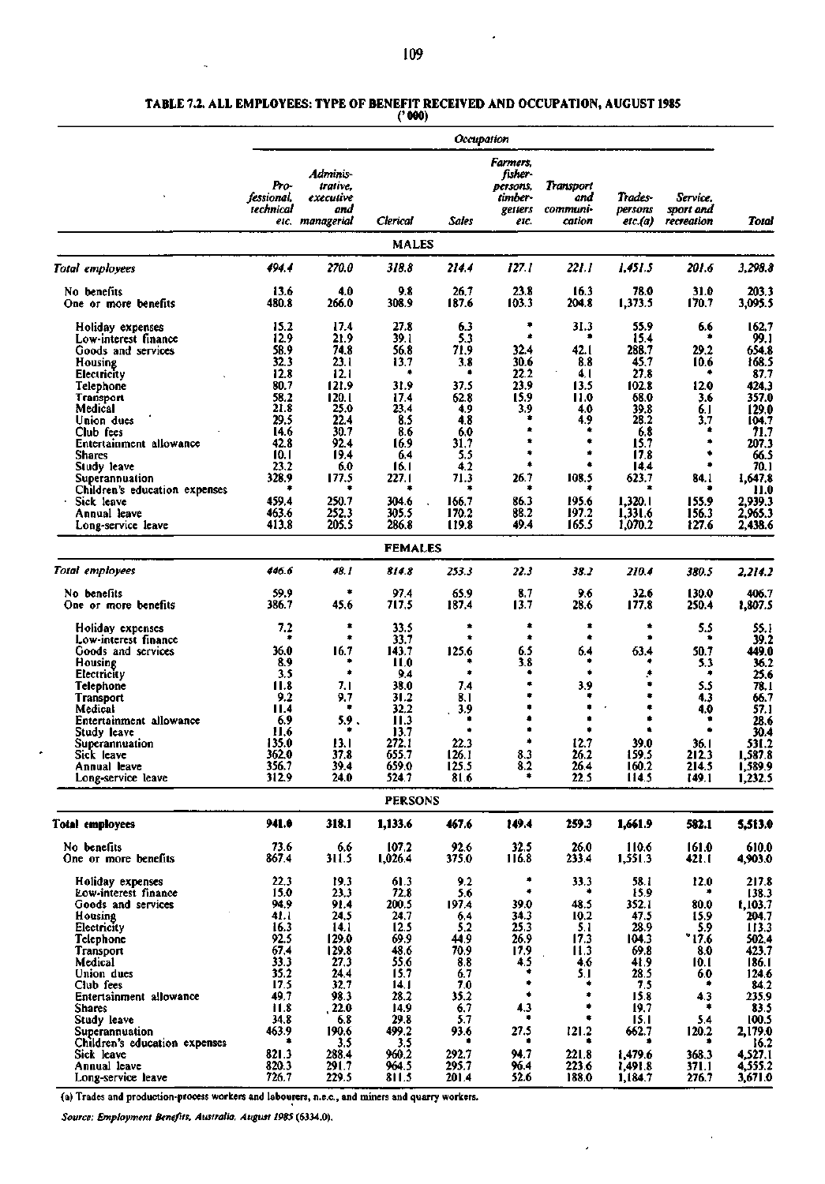L

#### **TABLE 7.2. ALL EMPLOYEES: TYPE OF BENEFIT RECEIVED AND OCCUPATION, AUGUST 1985**

**('000)** 

|                                             |                                 |                                          |                  |               | Occupation                                            |                                        |                    |                       |                    |
|---------------------------------------------|---------------------------------|------------------------------------------|------------------|---------------|-------------------------------------------------------|----------------------------------------|--------------------|-----------------------|--------------------|
|                                             | Pro-<br>fessional.<br>technical | Adminis-<br>trative.<br>executive<br>and | Clerical         | Sales         | Farmers.<br>fisher-<br>persons,<br>timber-<br>getters | Transport<br>and<br>communi-<br>cation | Trades-<br>persons | Service.<br>sport and | Total              |
|                                             |                                 | etc. managerial                          |                  |               | etc.                                                  |                                        | etc.(a)            | recreation            |                    |
|                                             |                                 |                                          | <b>MALES</b>     |               |                                                       |                                        |                    |                       |                    |
| Total employees                             | 494.4                           | 270.0                                    | 318.8            | 214.4         | 127.1                                                 | 221. I                                 | 1.451.5            | 201.6                 | 3,298.8            |
| No benefits<br>One or more benefits         | 13.6<br>480.8                   | 4.0<br>266.0                             | 9.8<br>308.9     | 26.7<br>187.6 | 23.8<br>103.3                                         | 16.3<br>204.8                          | 78.0<br>1,373.5    | 31.0<br>170.7         | 203.3<br>3,095.5   |
| Holiday expenses                            | 15.2                            | 17.4                                     | 27.8             | 6.3           | ٠                                                     | 31.3                                   | 55.9               | 6.6<br>٠              | 162.7              |
| Low-interest finance                        | 12.9<br>58.9                    | 21.9<br>74.8                             | 39. I            | 5.3           | 32.4                                                  | ۰<br>42.1                              | 15.4               |                       | 99.1               |
| Goods and services<br>Housing               | 32.3                            | 23.1                                     | 56.8<br>13.7     | 71.9<br>3.8   | 30.6                                                  | 8.8                                    | 288.7<br>45.7      | 29.2<br>10.6          | 654.8<br>168.5     |
| Electricity                                 | 12.8                            | 12.1                                     | ۰                | ۰             | 22.2                                                  | 4, 1                                   | 27.8               |                       | 87.7               |
| Telephone                                   | 80.7                            | 121.9                                    | 31.9             | 37.5          | 23.9                                                  | 13.5                                   | 102.8              | 12.0                  | 424.3              |
| Transport                                   | 58.2                            | 120.1                                    | 17.4             | 62.8          | 15.9                                                  | 11.0                                   | 68.0               | 3.6                   | 357.0              |
| Medical                                     | 21.8                            | 25.0                                     | 23.4             | 4.9           | 3.9                                                   | 4.0                                    | 39.8               | 6.1                   | 129.0              |
| Union dues                                  | 29.5                            | 22.4                                     | 8.5              | 4.8           |                                                       | 4.9                                    | 28.2               | 3.7                   | 104.7              |
| Club fees                                   | 14.6                            | 30.7                                     | 8.6              | 6.0           |                                                       | ۰                                      | 6.8                | ٠                     | 71.7               |
| Entertainment allowance                     | 42.8                            | 92.4                                     | 16.9             | 31,7          |                                                       | ۰                                      | 15.7               |                       | 207.3              |
| Shares                                      | 10.1                            | 19.4                                     | 6.4              | 5.5           | ۰                                                     | ۰                                      | 17.8               | ۰                     | 66.5               |
| Study leave                                 | 23.2                            | 6.0                                      | 16.1             | 4.2           |                                                       | ۰                                      | 14.4               |                       | 70.1               |
| Superannuation                              | 328.9<br>۰                      | 177.5                                    | 227.1<br>٠       | 71.3<br>۰     | 26.7                                                  | 108.5                                  | 623.7              | 84. L                 | 1,647.8            |
| Children's education expenses               | 459.4                           | 250.7                                    | 304.6            | 166.7         | 86.3                                                  | 195.6                                  | 1,320.1            | 155.9                 | 11.0<br>2.939.3    |
| Sick leave<br>Annual leave                  | 463.6                           | 252.3                                    | 305.5            | 170.2         | 88.2                                                  | 197.2                                  | 1,331.6            | 156.3                 | 2,965.3            |
| Long-service leave                          | 413.8                           | 205.5                                    | 286.8            | 119.8         | 49.4                                                  | 165.5                                  | 1,070.2            | 127.6                 | 2,438.6            |
|                                             |                                 |                                          | <b>FEMALES</b>   |               |                                                       |                                        |                    |                       |                    |
|                                             |                                 |                                          |                  |               |                                                       |                                        |                    |                       |                    |
| Total employees                             | 446.6                           | 48.1                                     | 814.8            | 253.3         | 22.3                                                  | 38.2                                   | 210.4              | 380.5                 | 2.214.2            |
| No benefits<br>One or more benefits         | 59.9<br>386.7                   | ۰<br>45.6                                | 97.4<br>717,5    | 65.9<br>187.4 | 8.7<br>13.7                                           | 9.6<br>28.6                            | 32.6<br>177.8      | 130.0<br>250.4        | 406.7<br>1,807.5   |
| Holiday expenses                            | 7.2                             | ۰<br>۰                                   | 33.5             | ۰             | ٠<br>۰                                                | ۰<br>۰                                 | ۰                  | 5.5<br>٠              | 55.1               |
| Low-interest finance                        |                                 |                                          | 33.7             |               |                                                       |                                        |                    |                       | 39.2               |
| Goods and services                          | 36.0<br>8.9                     | 16.7<br>٠                                | 143.7<br>11.0    | 125.6         | 6.5<br>3.8                                            | 6.4                                    | 63.4<br>۰          | 50.7                  | 449.0<br>36.2      |
| Housing<br>Electricity                      | 3.5                             | ۰                                        | 9.4              | ۰             |                                                       | ۰                                      | ۶                  | 5.3<br>۰              | 25.6               |
| Telephone                                   | 11.8                            | 7.1                                      | 38.0             | 7.4           | $\bullet$                                             | 3.9                                    |                    | 5.5                   | 78.1               |
| Transport                                   | 9.2                             | 9.7                                      | 31.2             | 8.1           |                                                       | ٠                                      |                    | 4.3                   | 66.7               |
| Medical                                     | 11.4                            | ٠                                        | 32.2             | 3.9           | ٠                                                     | ٠                                      | ۰                  | 4.0                   | 57.1               |
| Entertainment allowance                     | 6.9                             | 5.9.                                     | 11.3             | ٠             |                                                       | ٠                                      |                    |                       | 28.6               |
| Study leave                                 | 11.6                            |                                          | 13.7             | ٠             | ۰                                                     | ۰                                      |                    |                       | 30.4               |
| Superannuation                              | 135.0<br>362.0                  | 13.1                                     | 272.1<br>655.7   | 22.3<br>126.1 | 8.3                                                   | 12.7<br>26.2                           | 39.0<br>159.5      | 36. I                 | 531.2              |
| Sick leave<br>Annual leave                  | 356.7                           | 37.8<br>39.4                             | 659.0            | 125.5         | 8.2                                                   | 26.4                                   | 160.2              | 212.3<br>214.5        | 1,587.8<br>1,589.9 |
| Long-service leave                          | 312.9                           | 24.0                                     | 524.7            | 81.6          | ۰                                                     | 22.5                                   | 114.5              | 149.1                 | 1,232.5            |
|                                             |                                 |                                          | <b>PERSONS</b>   |               |                                                       |                                        |                    |                       |                    |
|                                             | 941.0                           |                                          |                  |               |                                                       |                                        |                    |                       |                    |
| Total employees                             |                                 | 318.1                                    | 1,133.6          | 467.6         | 149.4                                                 | 259.3                                  | 1,661.9            | 582.1                 | 5,513.0            |
| No benefits<br>One or more benefits         | 73.6<br>867.4                   | 6.6<br>311.5                             | 107.2<br>1,026.4 | 92.6<br>375.0 | 32.5<br>116.8                                         | 26.0<br>233.4                          | 110.6<br>1,551.3   | 161.0<br>421.I        | 610.0<br>4,903.0   |
| Holiday expenses                            | 22,3                            | 19.3                                     | 61.3             | 9.2           | ۰                                                     | 33.3                                   | 58. I              | 12.0                  | 217.8              |
| Low-interest finance                        | 15.0                            | 23.3                                     | 72,8             | 5.6           | ۰                                                     |                                        | 15.9               |                       | 138.3              |
| Goods and services                          | 94.9                            | 91.4                                     | 200.5            | 197.4         | 39.0                                                  | 48.5                                   | 352.1              | 80.0                  | f,103.7            |
| Housing                                     | 41.I                            | 24,5                                     | 24,7             | 6.4           | 34.3                                                  | 10.2                                   | 47.5               | 15.9                  | 204.7              |
| Electricity                                 | 16.3                            | 14.1                                     | 12.5             | 5.2           | 25.3                                                  | 5.1                                    | 28.9               | 5.9                   | 113.3              |
| Telephone                                   | 92.5<br>67.4                    | 129.0<br>129.8                           | 69.9<br>48.6     | 44.9<br>70.9  | 26.9<br>17.9                                          | 17.3<br>11.3                           | 104.3<br>69.8      | "17.6"<br>8.0         | 502.4<br>423.7     |
| Transport<br>Medical                        | 33.3                            | 27.3                                     | 55.6             | 8.8           | 4.5                                                   | 4.6                                    | 41.9               | 10.1                  | 186.1              |
| Union dues                                  | 35.2                            | 24.4                                     | 15.7             | 6.7           | ۰                                                     | 5.1                                    | 28.5               | 6.0                   | 124.6              |
| Club fees                                   | 17.5                            | 32.7                                     | 14.1             | 7.0           | ۰                                                     |                                        | 7.5                |                       | 84.2               |
| Entertainment allowance                     | 49.7                            | 98.3                                     | 28.2             | 35.2          | ۰                                                     | ٠                                      | 15.8               | 4.3                   | 235.9              |
| <b>Shares</b>                               | 11.8                            | .22.0                                    | 14.9             | 6.7           | 4.3                                                   |                                        | 19,7               | ٠                     | 83.5               |
| Study leave                                 | 34.8                            | 6.8                                      | 29.8             | 5.7           |                                                       |                                        | 15.1               | 5.4                   | 100.5              |
| Superannuation                              | 463.9                           | 190.6                                    | 499.2            | 93.6          | 27.5                                                  | 121.2                                  | 662.7              | 120.2                 | 2,179.0            |
| Children's education expenses<br>Sick leave | 821.3                           | 3.5<br>288.4                             | 3.5<br>960.2     | 292.7         | 94.7                                                  | 221.8                                  | 1,479.6            | 368.3                 | 16.2<br>4,527.1    |
| Annual leave                                | 820.3                           | 291.7                                    | 964.5            | 295.7         | 96.4                                                  | 223.6                                  | 1,491.8            | 371.1                 | 4,555.2            |
| Long-service leave                          | 726.7                           | 229.5                                    | 811.5            | 201.4         | 52.6                                                  | 188.0                                  | 1,184.7            | 276.7                 | 3,671.0            |

Î,

 $\overline{\phantom{a}}$ 

(a) Trades and production-process workers and labourers, n.e.c, and miners and quarry workers.

*Source: Employment Benefits, Australia, August 1985* **(6334.0).** 

×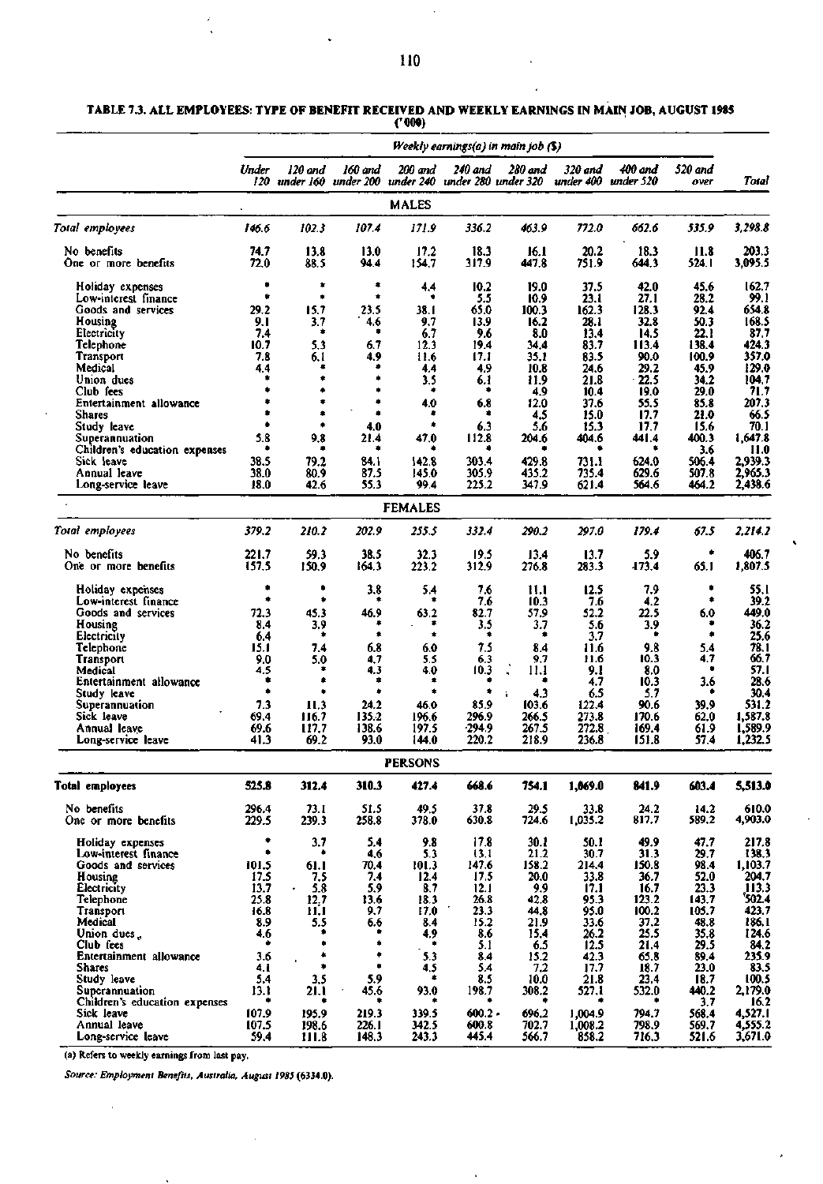|                                            |                |                      |                |                                                    |                    | Weekly earnings(a) in main job $(3)$ |                      |                      |                 |                    |
|--------------------------------------------|----------------|----------------------|----------------|----------------------------------------------------|--------------------|--------------------------------------|----------------------|----------------------|-----------------|--------------------|
|                                            | Under<br>120   | 120 and<br>under 160 | 160 and        | 200 and<br>under 200 under 240 under 280 under 320 | 240 and            | 280 and                              | 320 and<br>under 400 | 400 and<br>under 520 | 520 and<br>over | Total              |
|                                            |                |                      |                | <b>MALES</b>                                       |                    |                                      |                      |                      |                 |                    |
| Total employees                            | 146.6          | 102.3                | 107.4          | 171.9                                              | 336.2              | 463.9                                | 772.0                | 662.6                | 535.9           | 3,298.8            |
| No benefits                                | 74.7           | 13.8                 | 13.0           | 17.2                                               | 18.3               | 16.1                                 | 20.2                 | 18.3                 | 11.8            | 203.3              |
| One or more benefits                       | 72.0           | 88.5                 | 94.4           | 154.7                                              | 317.9              | 447.8                                | 751.9                | 644.3                | 524.1           | 3,095.5            |
| Holiday expenses                           | ٠<br>۰         | ۰<br>۰               | ۰<br>$\bullet$ | 4.4<br>۰                                           | 10.2               | 19.0                                 | 37.5                 | 42.0                 | 45.6            | 162.7              |
| Low-interest finance<br>Goods and services | 29.2           | 15.7                 | 23.5           | 38.1                                               | 5.5<br>65.0        | 10.9<br>100.3                        | 23.1<br>162.3        | 27.1<br>128.3        | 28.2<br>92.4    | 99.1<br>654.8      |
| Housing                                    | 9.1            | 3.7                  | 4.6            | 9.7                                                | 13.9               | 16.2                                 | 28.1                 | 32.8                 | 50.3            | 168.5              |
| Electricity                                | 7.4            | ۰                    | ٠              | 6.7                                                | 9.6                | 8.0                                  | 13.4                 | 14.5                 | 22.1            | 87.7               |
| Telephone                                  | 10.7           | 5.3                  | 6.7            | 12.3                                               | 19.4               | 34.4                                 | 83.7                 | 113.4                | 138.4           | 424.3              |
| <b>Transport</b>                           | 7.8            | 6.1                  | 4.9            | 11.6                                               | 17.1               | 35.1                                 | 83.5                 | 90.0                 | 100.9           | 357.0              |
| Medical                                    | 4.4<br>۰       |                      | ۰              | 4.4                                                | 4.9                | 10.8                                 | 24.6                 | 29.2                 | 45.9            | 129.0              |
| Union dues                                 | ۰              | ۰<br>۰               | ۰<br>٠         | 3.5<br>۰                                           | 6.1<br>۰           | 11.9                                 | 21.8                 | $-22.5$              | 34.2            | 104.7              |
| Club fees<br>Entertainment allowance       | ۰              | ۰                    | ۰              | 4.0                                                | 6.8                | 4.9<br>12.0                          | 10.4<br>37.6         | 19.0<br>55.5         | 29.0<br>85.8    | 71.7<br>207.3      |
| Shares                                     | ۰              | ۰                    | ٠              |                                                    | ۰                  | 4.5                                  | 15.0                 | 17.7                 | 21.0            | 66.5               |
| Study leave                                | ٠              | ۰                    | 4.0            | ٠                                                  | 6.3                | 5.6                                  | 15.3                 | 17.7                 | 15.6            | 70.1               |
| Superannuation                             | 5.8            | 9,8                  | 21.4           | 47.0                                               | 112.8              | 204.6                                | 404.6                | 44 I.A               | 400.3           | 1.647.8            |
| Children's education expenses              |                |                      | ٠              |                                                    |                    |                                      |                      |                      | 3.6             | 11.0               |
| Sick Jeave                                 | 38.5           | 79.2                 | 84.1           | 142.8                                              | 303.4              | 429.8                                | 731.1                | 624.0                | 506.4           | 2,939.3            |
| Annual leave<br>Long-service leave         | 38.0<br>18.0   | 80.9<br>42.6         | 87.5<br>55.3   | 145.0<br>99.4                                      | 305.9<br>225.2     | 435.2<br>347.9                       | 735.4<br>621.4       | 629.6<br>564.6       | 507.8<br>464.2  | 2,965.3<br>2,438.6 |
|                                            |                |                      |                | <b>FEMALES</b>                                     |                    |                                      |                      |                      |                 |                    |
| Total employees                            | 379.2          | 210.2                | 202.9          | 255.5                                              | 332.4              | 290.2                                | 297.0                | 179.4                | 67.5            | 2,214.2            |
|                                            |                |                      |                |                                                    |                    |                                      |                      |                      |                 |                    |
| No benefits<br>One or more benefits        | 221.7<br>157.5 | 59.3<br>150.9        | 38.5<br>164.3  | 32.3<br>223.2                                      | 19.5<br>312.9      | 13,4<br>276.8                        | 13.7<br>283.3        | 5.9<br>173.4         | ۰<br>65.1       | 406.7<br>1,807.5   |
| Holiday expenses                           | ۰              | ۰                    | 3.8            | 5.4                                                | 7.6                | 11.1                                 | 12.5                 | 7.9                  | ۰               | 55.1               |
| Low-interest finance                       | ۰              | ۰                    |                | ۰                                                  | 7.6                | 10.3                                 | 7.6                  | 4.2                  | ۰               | 39.2               |
| Goods and services<br>Housing              | 72.3<br>8.4    | 45.3<br>3.9          | 46.9<br>۰      | 63.2<br>۰                                          | 82.7<br>3.5        | 57.9<br>3.7                          | 52.2<br>5.6          | 22.5<br>3.9          | 6.0<br>۰        | 449.0<br>36.2      |
| Electricity                                | 64             | ۰                    | ۰              | ۰                                                  | ۰                  | ۰                                    | 3.7                  | ۰                    | ۰               | 25.6               |
| Telephone                                  | 15.1           | 7.4                  | 6.8            | 6.0                                                | 7.5                | 8.4                                  | 11.6                 | 9.8                  | 5.4             | 78.1               |
| Transport                                  | 9.0            | 5.0                  | 4.7            | 5.5                                                | 6.3                | 9.7                                  | 11.6                 | 10.3                 | 4.7             | 66.7               |
| Medical                                    | 4.5            | $\bullet$            | 4.3            | 4.0                                                | 10.3               | 11.1                                 | 9.1                  | 8.0                  | ۰               | 57.1               |
| Entertainment allowance                    | ٠<br>۰         | ۰<br>۰               | ۰<br>۰         | ۰<br>۰                                             | ۰                  | ٠                                    | 4.7                  | 10.3                 | 3.6             | 28.6               |
| Study leave<br>Superannuation              | 7.3            | 11.3                 | 24.2           | 46.0                                               | 85.9               | 4.3<br>÷<br>103.6                    | 6.5<br>122.4         | 5.7<br>90.6          | 39.9            | 30.4<br>531.2      |
| Sick leave                                 | 69.4           | 116.7                | 135.2          | 196.6                                              | 296.9              | 266.5                                | 273.8                | 170.6                | 62.0            | 1,587.8            |
| Annual leave                               | 69.6           | 117.7                | 138.6          | 197.5                                              | $-294.9$           | 267.5                                | 272.8                | 169.4                | 61.9            | 1,589.9            |
| Long-service leave                         | 41.3           | 69.2                 | 93.0           | 144.0                                              | 220.2              | 218.9                                | 236.8                | 151.8                | 57.4            | 1,232.5            |
|                                            |                |                      |                | <b>PERSONS</b>                                     |                    |                                      |                      |                      |                 |                    |
| Total employees                            | 525.8          | 312.4                | 310.3          | 427.4                                              | 668.6              | 754.1                                | 1,069.0              | 841.9                | 603.4           | 5,513.0            |
| No benefits                                | 296.4          | 73.1                 | 51.5           | 49.5                                               | 37.8               | 29.5                                 | 33.8                 | 24.2                 | 14.2            | 610.0              |
| One or more benefits                       | 229.5          | 239.3                | 258.8          | 378.0                                              | 630.8              | 724.6                                | 1,035.2              | 817.7                | 589.2           | 4,903.0            |
| Holiday expenses                           | ۰              | 3.7                  | 5.4            | 9.8                                                | 17.8               | 30.1                                 | 50.1                 | 49.9                 | 47.7            | 217.8              |
| Low-interest finance                       | ٠              | ۰                    | 4,6            | 5.3                                                | 13.1               | 21.2                                 | 30.7                 | 31.3                 | 29.7            | 138.3              |
| Goods and services                         | 101.5<br>17.5  | 61.1<br>7,5          | 70.4<br>7.4    | 101.3<br>12.4                                      | 147.6<br>17.5      | 158.2<br>20.0                        | 214.4<br>33.8        | 150.8<br>36.7        | 98.4<br>52.0    | 1,103.7<br>204.7   |
| Housing<br>Electricity                     | 13.7           | 5.8                  | 5.9            | 8.7                                                | 12.1               | 9.9                                  | 17.1                 | 16.7                 | 23.3            | ,113.3             |
| Telephone                                  | 25.8           | 12,7                 | 13.6           | 18.3                                               | 26.8               | 42.8                                 | 95.3                 | 123.2                | 143.7           | 502.4              |
| Transport                                  | 16.8           | 11.1                 | 9.7            | 17.0                                               | 23.3               | 44.8                                 | 95.0                 | 100.2                | 105.7           | 423.7              |
| Medical                                    | 8.9            | 5.5                  | 6.6            | 8.4                                                | 15.2               | 21.9                                 | 33.6                 | 37.2                 | 48.8            | 186.1              |
| Union dues.                                | 4.6<br>۰       |                      | ۰              | 4,9                                                | 8.6                | 15,4                                 | 26.2                 | 25.5                 | 35.8            | 124.6              |
| Club fees<br>Entertainment allowance       | 3.6            | ۰                    | ٠              | ۰<br>5.3                                           | 5.1<br>8.4         | 6.5<br>15.2                          | 12.5<br>42.3         | 21.4<br>65.8         | 29.5<br>89.4    | 84.2<br>235.9      |
| <b>Shares</b>                              | 4.1            | ۰                    | ٠              | 4,5                                                | 5.4                | 7.2                                  | 17.7                 | 18.7                 | 23.0            | 83.5               |
| Study leave                                | 5.4            | 3.5                  | 5.9            | ٠                                                  | 8.5                | 10.0                                 | 21.8                 | 23.4                 | 18.7            | 100.5              |
| Superannuation                             | 13.1           | 21.1                 | 45.6           | 93.0                                               | 198.7              | 308.2                                | 527.1                | 532.0                | 440.2           | 2,179.0            |
| Children's education expenses              |                | ۰                    |                |                                                    |                    | ٠                                    |                      |                      | 3.7             | 16.2               |
| Sick leave<br>Annual leave                 | 107.9<br>107.5 | 195.9                | 219.3<br>226.1 | 339.5<br>342.5                                     | $600.2 -$<br>600.8 | 696,2<br>702.7                       | 1,004.9<br>1,008.2   | 794.7<br>798.9       | 568.4<br>569.7  | 4,527.1<br>4,555.2 |
| Long-service leave                         | 59.4           | 198.6<br>111.8       | 148.3          | 243.3                                              | 445.4              | 566.7                                | 858.2                | 716.3                | 521.6           | 3,671.0            |
|                                            |                |                      |                |                                                    |                    |                                      |                      |                      |                 |                    |

**TABLE 7.3. ALL EMPLOYEES: TYPE OF BENEFIT RECEIVED AND WEEKLY EARNINGS IN MAIN JOB, AUGUST 1985 ('000)** 

(a) Refers to weekly earnings from last pay.

 $\ddot{\phantom{1}}$ 

*Source: Employment Benefits, Australia, August 1985* **(6334.0).**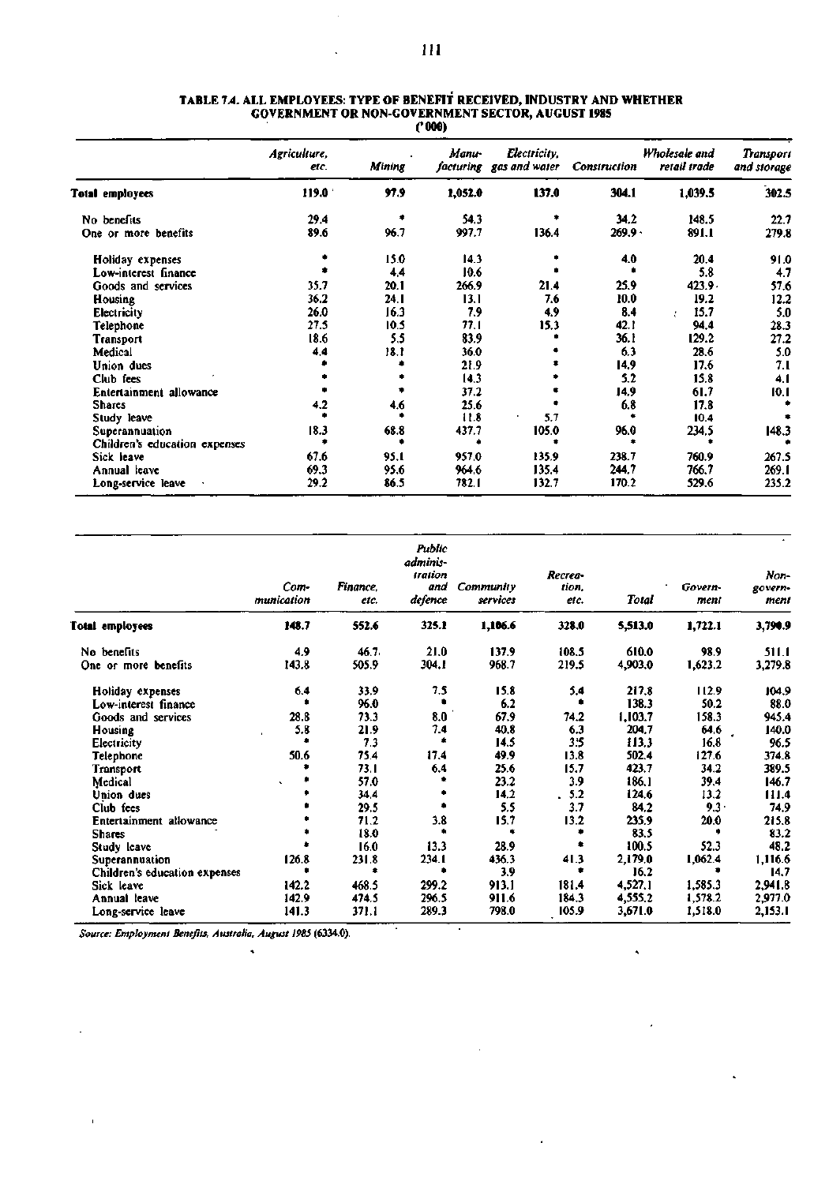|                               | Agriculture,<br>etc. | Mining | <b>Manu-</b> | Electricity,<br>facturing gas and water | <b>Construction</b> | Wholesale and<br>retail trade | <b>Transport</b><br>and storage |
|-------------------------------|----------------------|--------|--------------|-----------------------------------------|---------------------|-------------------------------|---------------------------------|
| Total employees               | 119.0 <sup>°</sup>   | 97.9   | 1,052.0      | 137.0                                   | 304.1               | 1,039.5                       | 302.5                           |
| No benefits                   | 29.4                 |        | 54.3         |                                         | 34.2                | 148.5                         | 22.7                            |
| One or more benefits          | 89.6                 | 96.7   | 997.7        | 136.4                                   | $269.9 -$           | 891.1                         | 279.8                           |
| Holiday expenses              |                      | 15.0   | 14.3         |                                         | 4.0                 | 20.4                          | 91.0                            |
| Low-interest finance          |                      | 4,4    | 10.6         |                                         |                     | 5.8                           | 4.7                             |
| Goods and services            | 35.7                 | 20.1   | 266.9        | 21.4                                    | 25.9                | $423.9 -$                     | 57.6                            |
| Housing                       | 36.2                 | 24. I  | 13.1         | 7.6                                     | 10.0                | 19.2                          | 12.2                            |
| <b>Electricity</b>            | 26.0                 | 16.3   | 7.9          | 4.9                                     | 8.4                 | 15.7<br>ł                     | 5.0                             |
| Telephone                     | 27.5                 | 10.5   | 77.1         | 15.3                                    | 42.1                | 94.4                          | 28.3                            |
| Transport                     | 18.6                 | 5,5    | 83.9         |                                         | 36.1                | 129.2                         | 27.2                            |
| Medical                       | 4.4                  | 18.1   | 36.0         |                                         | 6.3                 | 28.6                          | 5.0                             |
| Union dues                    |                      |        | 21.9         |                                         | 14.9                | 17.6                          | 7. I                            |
| Club fees                     |                      |        | 14,3         |                                         | 5.2                 | 15.8                          | 4.1                             |
| Entertainment allowance       |                      |        | 37.2         |                                         | 14.9                | 61.7                          | 10.1                            |
| <b>Shares</b>                 | 4.2                  | 4.6    | 25.6         |                                         | 6.8                 | 17.8                          |                                 |
| Study leave                   |                      |        | 11.8         | 5.7                                     |                     | 10.4                          |                                 |
| Superannuation                | 18.3                 | 68.8   | 437.7        | 105.0                                   | 96.0                | 234.5                         | 148.3                           |
| Children's education expenses |                      |        |              |                                         |                     |                               |                                 |
| Sick leave                    | 67.6                 | 95.1   | 957.0        | 135.9                                   | 238.7               | 760.9                         | 267.5                           |
| Annual leave                  | 69.3                 | 95.6   | 964.6        | 135.4                                   | 244.7               | 766.7                         | 269.1                           |
| Long-service leave            | 29.2                 | 86.5   | 782. I       | 132.7                                   | 170.2               | 529.6                         | 235.2                           |

#### **TABLE 7.4. ALL EMPLOYEES: TYPE OF BENEFIT RECEIVED, INDUSTRY AND WHETHER GOVERNMENT OR NON-GOVERNMENT SECTOR, AUGUST 1985 ('000)**

|                               | Com-<br>munication | Finance,<br>etc. | Public<br>adminis-<br>tration<br>and<br>defence | Community<br>services | Recrea-<br>tion.<br>etc. | <b>Total</b> | Govern-<br>ment | Non-<br>govern-<br>ment |
|-------------------------------|--------------------|------------------|-------------------------------------------------|-----------------------|--------------------------|--------------|-----------------|-------------------------|
| Total employees               | 148.7              | 552.6            | 325.1                                           | 1,106.6               | 328.0                    | 5,513.0      | 1,722.1         | 3,790.9                 |
| No benefits                   | 4.9                | 46.7.            | 21.0                                            | 137.9                 | 108.5                    | 610.0        | 98.9            | 511.1                   |
| One or more benefits          | 143.8              | 505.9            | 304.I                                           | 968.7                 | 219.5                    | 4,903.0      | 1,623.2         | 3,279.8                 |
| Holiday expenses              | 6.4                | 33.9             | 7.5                                             | 15.8                  | 5.4                      | 217.8        | 112.9           | 104.9                   |
| Low-interest finance          |                    | 96.0             |                                                 | 6.2                   |                          | 138.3        | 50.2            | 88.0                    |
| Goods and services            | 28.8               | 73.3             | 8.0                                             | 67.9                  | 74.2                     | 1,103.7      | 158.3           | 945.4                   |
| Housing                       | 5.8                | 21.9             | 7.4                                             | 40.8                  | 6.3                      | 204.7        | 64.6            | 140.0                   |
| Electricity                   |                    | 7.3              | ٠                                               | 14.5                  | 3.5                      | 113.3        | 16,8            | 96.5                    |
| Telephone                     | 50.6               | 75.4             | 17.4                                            | 49.9                  | 13.8                     | 502.4        | 127.6           | 374.8                   |
| Transport                     |                    | 73.1             | 6,4                                             | 25.6                  | 15.7                     | 423.7        | 34.2            | 389.5                   |
| Medical                       |                    | 57.0             |                                                 | 23.2                  | 3.9                      | 186.1        | 39.4            | 146.7                   |
| Union dues                    |                    | 34.4             |                                                 | 14,2                  | 5.2                      | 124.6        | 13.2            | 111.4                   |
| Club fees                     |                    | 29.5             |                                                 | 5.5                   | 3.7                      | 84.2         | $9.3 -$         | 74.9                    |
| Entertainment allowance       |                    | 71.2             | 3.8                                             | 15.7                  | 13.2                     | 235.9        | 20.0            | 215.8                   |
| <b>Shares</b>                 |                    | 18.0             | ٠                                               |                       | ۰                        | 83.5         |                 | 83.2                    |
| Study leave                   |                    | 16.0             | 13.3                                            | 28.9                  |                          | 100.5        | 52.3            | 48.2                    |
| Superannuation                | 126.8              | 231.8            | 234.1                                           | 436.3                 | 41.3                     | 2,179.0      | 1,062.4         | 1,116.6                 |
| Children's education expenses |                    |                  |                                                 | 3.9                   | ٠                        | 16.2         |                 | 14.7                    |
| Sick leave                    | 142.2              | 468.5            | 299.2                                           | 913.1                 | 181.4                    | 4,527.1      | 1,585.3         | 2,941.8                 |
| Annual leave                  | 142.9              | 474.5            | 296.5                                           | 911.6                 | 184.3                    | 4,555.2      | 1,578.2         | 2,977.0                 |
| Long-service leave            | 141.3              | 371.1            | 289.3                                           | 798.0                 | 105.9                    | 3,671.0      | 1,518.0         | 2,153.1                 |

 $\bar{1}$ 

 $\epsilon$ 

*Source: Employment Benefits, Australia, August 1985* **(6334.0).** 

à,

 $\hat{\mathbf{v}}$ 

J.

 $\bar{\mathbf{v}}$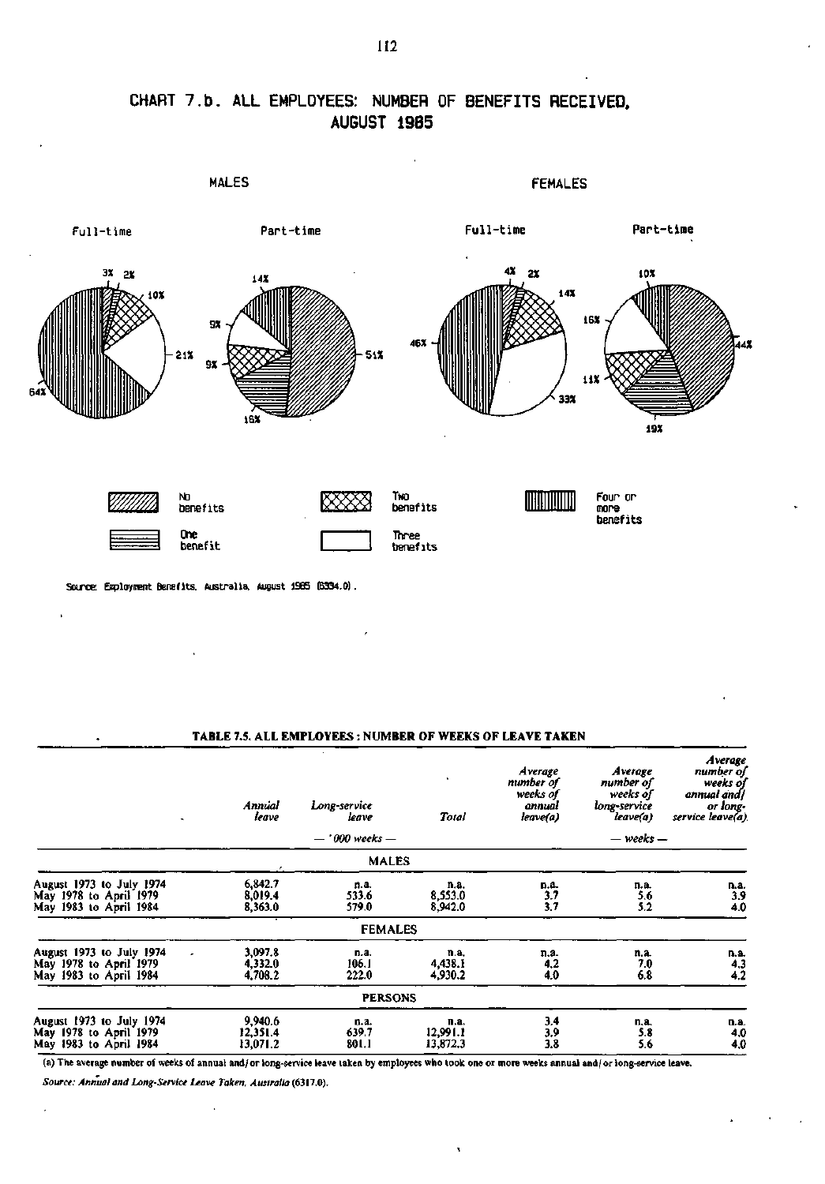

**CHART 7.b . ALL EMPLOYEES: NUMBER OF BENEFITS RECEIVED. AUGUST 19B5** 

**Source: Employment Benefits. Australia. August 1985 (6334.0).** 

 $\ddot{\phantom{1}}$ 

 $\ddot{\phantom{0}}$ 

## **TABLE 7.5. ALL EMPLOYEES : NUMBER OF WEEKS OF LEAVE TAKEN**

|                                                                                   | Annual<br>leave                 | Long-service<br>leave  | Total                        | Average<br>number of<br>weeks of<br>annual<br>leave(a) | Average<br>number of<br>weeks of<br>long-service<br>leave(a) | Average<br>number of<br>weeks of<br>annual and/<br>or long-<br>service leave(a) |
|-----------------------------------------------------------------------------------|---------------------------------|------------------------|------------------------------|--------------------------------------------------------|--------------------------------------------------------------|---------------------------------------------------------------------------------|
|                                                                                   |                                 | $-$ ' 000 weeks $-$    |                              |                                                        | $-$ weeks $-$                                                |                                                                                 |
|                                                                                   |                                 | <b>MALES</b>           |                              |                                                        |                                                              |                                                                                 |
| August 1973 to July 1974<br>May 1978 to April 1979<br>May 1983 to April 1984      | 6,842.7<br>8,019.4<br>8,363.0   | n.a.<br>533.6<br>579.0 | n.a.<br>8,553.0<br>8,942.0   | D.A.<br>3.7<br>3.7                                     | n.a.<br>5.6<br>5.2                                           | n.a.<br>$\frac{3.9}{4.0}$                                                       |
|                                                                                   |                                 | <b>FEMALES</b>         |                              |                                                        |                                                              |                                                                                 |
| August 1973 to July 1974<br>٠<br>May 1978 to April 1979<br>May 1983 to April 1984 | 3,097.8<br>4,332.0<br>4,708.2   | n.a.<br>106.1<br>222.0 | n.a.<br>4,438.1<br>4,930.2   | n.a.<br>4,2<br>4.0                                     | n.a.<br>7.0<br>6.8                                           | n.a.<br>$\frac{4.3}{4.2}$                                                       |
|                                                                                   |                                 | <b>PERSONS</b>         |                              |                                                        |                                                              |                                                                                 |
| August 1973 to July 1974<br>May 1978 to April 1979<br>May 1983 to April 1984      | 9,940.6<br>12,351.4<br>13,071.2 | n.a.<br>639.7<br>801.1 | п.а.<br>12,991.1<br>13,872.3 | 3.4<br>3.9<br>3.8                                      | n.a.<br>5.8<br>5.6                                           | n.a.<br>4.0<br>4.0                                                              |

(a) The average number of weeks of annual and/or long-service leave taken by employees who took one or more weeks annual and/ or long-service leave.

 $\mathbf{I}$ 

*Source: Annual and Long-Service Leave Taken, Australia* (6317.0).

 $\lambda$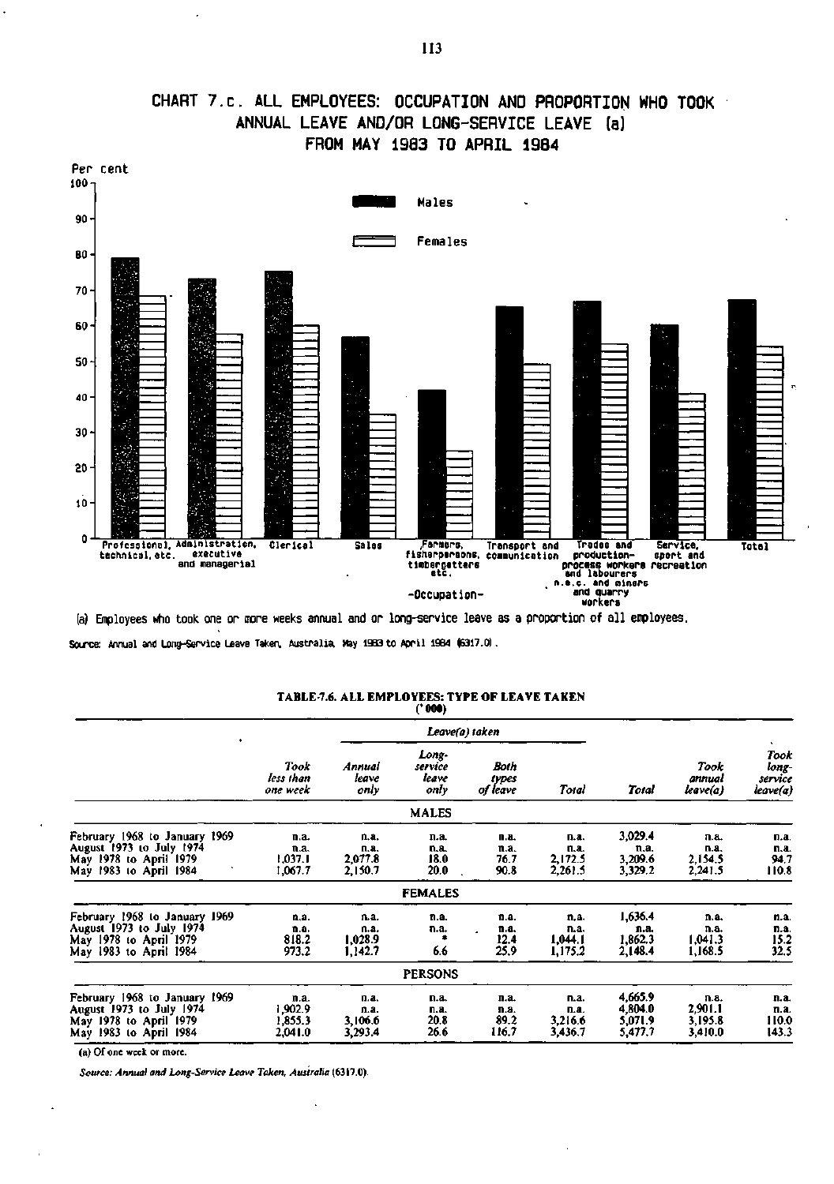

## **CHART 7.c. ALL EMPLOYEES: OCCUPATION AND PROPORTION WHO TOOK ANNUAL LEAVE AND/OR LONG-SERVICE LEAVE (a) FROM MAY 1983 TO APRIL 1984**

(a) Employees who took one or more weeks annual and or long-service leave as a proportion of all employees.

Source: Annual and Long-Service Leave Taken, Australia, May 1983 to April 1984 (6317.0).

|                                                                                                                      |                                       |                                    | <b>Contract</b>                   |                               |                                    |                                          |                                       |                                      |
|----------------------------------------------------------------------------------------------------------------------|---------------------------------------|------------------------------------|-----------------------------------|-------------------------------|------------------------------------|------------------------------------------|---------------------------------------|--------------------------------------|
| ٠                                                                                                                    |                                       |                                    |                                   | Leave(a) taken                |                                    |                                          |                                       |                                      |
|                                                                                                                      | Took<br>less than<br>one week         | Annual<br>ieave<br>only            | Long-<br>service<br>leave<br>only | Both<br>types<br>of leave     | Total                              | Total                                    | Took<br>annual<br>leave(a)            | Took<br>long-<br>service<br>leave(a) |
|                                                                                                                      |                                       |                                    | <b>MALES</b>                      |                               |                                    |                                          |                                       |                                      |
| February 1968 to January 1969<br>August 1973 to July 1974<br>May 1978 to April 1979<br>May 1983 to April 1984        | n.a.<br>n.a.<br>1,037.1<br>1,067.7    | n.a.<br>n.a.<br>2,077.8<br>2,150.7 | n.a.<br>n.a.<br>18.0<br>20.0      | n.a.<br>n.a.<br>76.7<br>90.8  | n.a.<br>n.a.<br>2,172.5<br>2,261.5 | 3,029.4<br>n.a.<br>3,209.6<br>3,329.2    | п.а.<br>n.a.<br>2,154.5<br>2,241.5    | n.a.<br>n.a.<br>94.7<br>110.8        |
|                                                                                                                      |                                       |                                    | <b>FEMALES</b>                    |                               |                                    |                                          |                                       |                                      |
| February 1968 to January 1969<br><b>August 1973 to July 1974</b><br>May 1978 to April 1979<br>May 1983 to April 1984 | n,a.<br>n.a.<br>818.2<br>973.2        | n.a.<br>n.a.<br>1,028.9<br>1.142.7 | n.a.<br>n.a.<br>搻<br>6.6          | n.a.<br>n.a.<br>12.4<br>25,9  | n.a.<br>n.a.<br>1,044.1<br>1,175.2 | 1,636.4<br>n.a.<br>1,862.3<br>2,148.4    | n.a.<br>n.a.<br>1,041.3<br>1,168.5    | n.a.<br>n.a.<br>15.2<br>32.5         |
|                                                                                                                      |                                       |                                    | <b>PERSONS</b>                    |                               |                                    |                                          |                                       |                                      |
| February 1968 to January 1969<br>August 1973 to July 1974<br>May 1978 to April 1979<br>May 1983 to April 1984        | n.a.<br>1,902.9<br>1,855.3<br>2,041.0 | n.a.<br>n.a.<br>3,106.6<br>3,293.4 | n.a.<br>n.a.<br>20.8<br>26.6      | n.a.<br>n.a.<br>89.2<br>116.7 | n.a.<br>n.a.<br>3,216.6<br>3,436.7 | 4,665.9<br>4,804.0<br>5,071.9<br>5,477.7 | n.a.<br>2,901.1<br>3,195.8<br>3,410.0 | n.a.<br>n.a.<br>110.0<br>143.3       |

# **TABLE 7.6. ALL EMPLOYEES: TYPE OF LEAVE TAKEN ('000)**

(a) Of one week or more.

*Source: Annual and Long-Service Leave Taken, Australia* (6317.0).

 $\overline{\phantom{a}}$